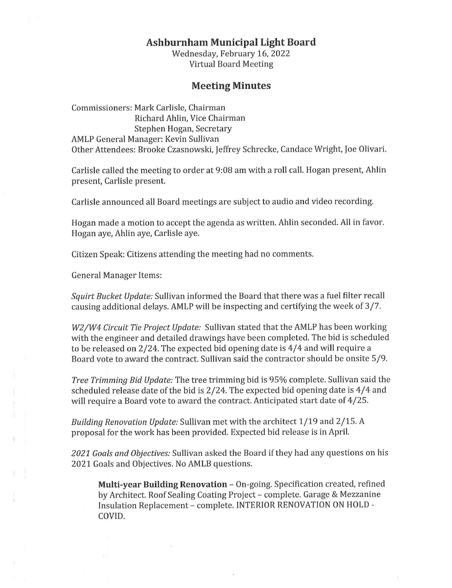## **Ashburnham Municipal Light Board**

Wednesday, February 16, 2022 Virtual Board Meeting

## **Meeting Minutes**

Commissioners: Mark Carlisle, Chairman Richard Ahlin, Vice Chairman Stephen Hogan, Secretary AMLP General Manager: Kevin Sullivan Other Attendees: Brooke Czasnowski, Jeffrey Schrecke, Candace Wright, Joe Olivari.

Carlisle called the meeting to order at 9:08 am with a roll call. Hogan present, Ahlin present, Carlisle present.

Carlisle announced all Board meetings are subject to audio and video recording.

Hogan made a motion to accept the agenda as written. Ahlin seconded. All in favor. Hogan aye, Ahlin aye, Carlisle aye.

Citizen Speak: Citizens attending the meeting had no comments.

General Manager Items:

*Squirt Bucket Update:* Sullivan informed the Board that there was a fuel filter recall causing additional delays. AMLP will be inspecting and certifying the week of 3/7.

*W2/W4 Circuit Tie Project Update:* Sullivan stated that the AMLP has been working with the engineer and detailed drawings have been completed. The bid is scheduled to be released on 2/24. The expected bid opening date is 4/4 and will require a Board vote to award the contract. Sullivan said the contractor should be onsite 5/9.

*Tree Trimming Bid Update:* The tree trimming bid is 95% complete. Sullivan said the scheduled release date of the bid is 2/24. The expected bid opening date is 4/4 and will require a Board vote to award the contract. Anticipated start date of 4/25.

*Building Renovation Update:* Sullivan met with the architect 1/19 and 2/15. *A*  proposal for the work has been provided. Expected bid release is in April.

*2021 Goals and Objectives:* Sullivan asked the Board if they had any questions on his 2021 Goals and Objectives. No AMLB questions.

**Multi-year Building Renovation - On-going. Specification created, refined** by Architect. Roof Sealing Coating Project - complete. Garage & Mezzanine Insulation Replacement - complete. INTERIOR RENOVATION ON HOLD - COVID.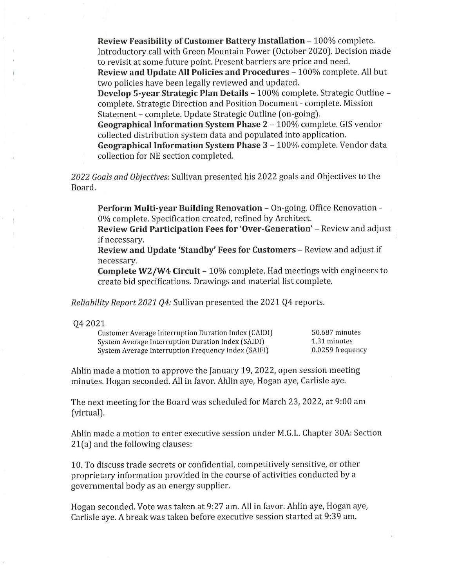**Review Feasibility of Customer Battery Installation - 100% complete.** Introductory call with Green Mountain Power (October 2020). Decision made to revisit at some future point. Present barriers are price and need.

**Review and Update All Policies and Procedures** - 100% complete. All but two policies have been legally reviewed and updated.

**Develop 5-year Strategic Plan Details** - 100% complete. Strategic Outline complete. Strategic Direction and Position Document - complete. Mission Statement - complete. Update Strategic Outline (on-going).

**Geographical Information System Phase 2** - 100% complete. GIS vendor collected distribution system data and populated into application.

Geographical Information System Phase 3 - 100% complete. Vendor data collection for NE section completed.

*2022 Goals and Objectives:* Sullivan presented his 2022 goals and Objectives to the Board.

**Perform Multi-year Building Renovation** - On-going. Office Renovation - 0% complete. Specification created, refined by Architect.

**Review Grid Participation Fees for 'Over-Generation' – Review and adjust** if necessary.

**Review and Update 'Standby' Fees for Customers** - Review and adjust if necessary.

**Complete W2/W4 Circuit** - 10% complete. Had meetings with engineers to create bid specifications. Drawings and material list complete.

*Reliability Report 2021 Q4:* Sullivan presented the 2021 Q4 reports.

## Q4 2021

Customer Average Interruption Duration Index (CAIDI) 50.687 minutes System Average Interruption Duration Index (SAIDI) 1.31 minutes System Average Interruption Frequency Index (SAIFI) 0.0259 frequency

Ahlin made a motion to approve the January 19, 2022, open session meeting minutes. Hogan seconded. All in favor. Ahlin aye, Hogan aye, Carlisle aye.

The next meeting for the Board was scheduled for March 23, 2022, at 9:00 am (virtual).

Ahlin made a motion to enter executive session under M.G.L. Chapter 30A: Section 21(a) and the following clauses:

10. To discuss trade secrets or confidential, competitively sensitive, or other proprietary information provided in the course of activities conducted by a governmental body as an energy supplier.

Hogan seconded. Vote was taken at 9:27 am. All in favor. Ahlin aye, Hogan aye, Carlisle aye. *A* break was taken before executive session started at 9:39 am.